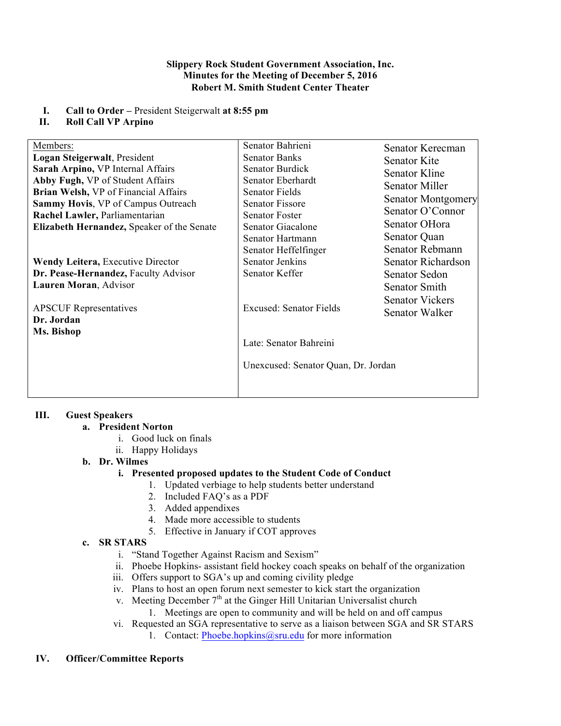#### **Slippery Rock Student Government Association, Inc. Minutes for the Meeting of December 5, 2016 Robert M. Smith Student Center Theater**

**I. Call to Order –** President Steigerwalt **at 8:55 pm**

## **II. Roll Call VP Arpino**

| Members:                                                  | Senator Bahrieni                                                                                | Senator Kerecman                         |
|-----------------------------------------------------------|-------------------------------------------------------------------------------------------------|------------------------------------------|
| Logan Steigerwalt, President                              | <b>Senator Banks</b>                                                                            | Senator Kite                             |
| Sarah Arpino, VP Internal Affairs                         | Senator Burdick                                                                                 | <b>Senator Kline</b>                     |
| Abby Fugh, VP of Student Affairs                          | Senator Eberhardt                                                                               | <b>Senator Miller</b>                    |
| Brian Welsh, VP of Financial Affairs                      | <b>Senator Fields</b>                                                                           |                                          |
| Sammy Hovis, VP of Campus Outreach                        | <b>Senator Fissore</b>                                                                          | Senator Montgomery                       |
| Rachel Lawler, Parliamentarian                            | <b>Senator Foster</b>                                                                           | Senator O'Connor                         |
| Elizabeth Hernandez, Speaker of the Senate                | Senator Giacalone                                                                               | Senator OHora                            |
|                                                           | Senator Hartmann                                                                                | Senator Quan                             |
|                                                           | Senator Heffelfinger                                                                            | Senator Rebmann                          |
| <b>Wendy Leitera, Executive Director</b>                  | Senator Jenkins                                                                                 | Senator Richardson                       |
| Dr. Pease-Hernandez, Faculty Advisor                      | Senator Keffer                                                                                  | Senator Sedon                            |
| Lauren Moran, Advisor                                     |                                                                                                 | Senator Smith                            |
| <b>APSCUF</b> Representatives<br>Dr. Jordan<br>Ms. Bishop | <b>Excused: Senator Fields</b><br>Late: Senator Bahreini<br>Unexcused: Senator Quan, Dr. Jordan | <b>Senator Vickers</b><br>Senator Walker |
|                                                           |                                                                                                 |                                          |

# **III. Guest Speakers**

# **a. President Norton**

- i. Good luck on finals
- ii. Happy Holidays

# **b. Dr. Wilmes**

# **i. Presented proposed updates to the Student Code of Conduct**

- 1. Updated verbiage to help students better understand
- 2. Included FAQ's as a PDF
- 3. Added appendixes
- 4. Made more accessible to students
- 5. Effective in January if COT approves

### **c. SR STARS**

- i. "Stand Together Against Racism and Sexism"
- ii. Phoebe Hopkins- assistant field hockey coach speaks on behalf of the organization
- iii. Offers support to SGA's up and coming civility pledge
- iv. Plans to host an open forum next semester to kick start the organization
- v. Meeting December  $7<sup>th</sup>$  at the Ginger Hill Unitarian Universalist church
	- 1. Meetings are open to community and will be held on and off campus
- vi. Requested an SGA representative to serve as a liaison between SGA and SR STARS
	- 1. Contact: Phoebe.hopkins@sru.edu for more information

### **IV. Officer/Committee Reports**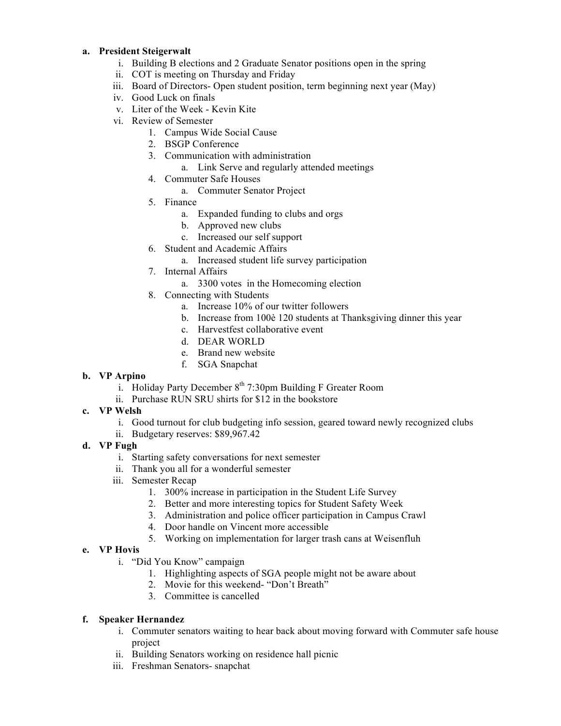### **a. President Steigerwalt**

- i. Building B elections and 2 Graduate Senator positions open in the spring
- ii. COT is meeting on Thursday and Friday
- iii. Board of Directors- Open student position, term beginning next year (May)
- iv. Good Luck on finals
- v. Liter of the Week Kevin Kite
- vi. Review of Semester
	- 1. Campus Wide Social Cause
	- 2. BSGP Conference
	- 3. Communication with administration
		- a. Link Serve and regularly attended meetings
	- 4. Commuter Safe Houses
		- a. Commuter Senator Project
	- 5. Finance
		- a. Expanded funding to clubs and orgs
		- b. Approved new clubs
		- c. Increased our self support
	- 6. Student and Academic Affairs
		- a. Increased student life survey participation
	- 7. Internal Affairs
		- a. 3300 votes in the Homecoming election
	- 8. Connecting with Students
		- a. Increase 10% of our twitter followers
		- b. Increase from 100è 120 students at Thanksgiving dinner this year
		- c. Harvestfest collaborative event
		- d. DEAR WORLD
		- e. Brand new website
		- f. SGA Snapchat

### **b. VP Arpino**

- i. Holiday Party December  $8<sup>th</sup>$  7:30pm Building F Greater Room
- ii. Purchase RUN SRU shirts for \$12 in the bookstore
- **c. VP Welsh**
	- i. Good turnout for club budgeting info session, geared toward newly recognized clubs
	- ii. Budgetary reserves: \$89,967.42
- **d. VP Fugh**
	- i. Starting safety conversations for next semester
	- ii. Thank you all for a wonderful semester
	- iii. Semester Recap
		- 1. 300% increase in participation in the Student Life Survey
		- 2. Better and more interesting topics for Student Safety Week
		- 3. Administration and police officer participation in Campus Crawl
		- 4. Door handle on Vincent more accessible
		- 5. Working on implementation for larger trash cans at Weisenfluh

# **e. VP Hovis**

- i. "Did You Know" campaign
	- 1. Highlighting aspects of SGA people might not be aware about
	- 2. Movie for this weekend- "Don't Breath"
	- 3. Committee is cancelled

# **f. Speaker Hernandez**

- i. Commuter senators waiting to hear back about moving forward with Commuter safe house project
- ii. Building Senators working on residence hall picnic
- iii. Freshman Senators- snapchat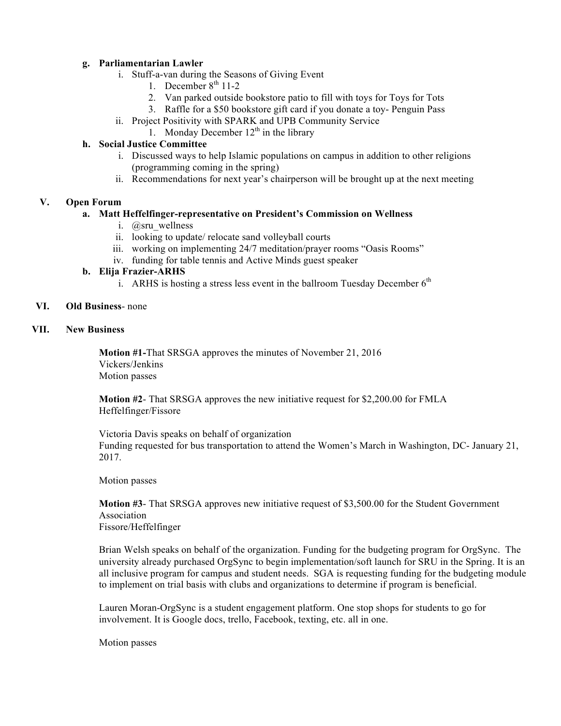### **g. Parliamentarian Lawler**

- i. Stuff-a-van during the Seasons of Giving Event
	- 1. December  $8<sup>th</sup> 11-2$
	- 2. Van parked outside bookstore patio to fill with toys for Toys for Tots
	- 3. Raffle for a \$50 bookstore gift card if you donate a toy- Penguin Pass
- ii. Project Positivity with SPARK and UPB Community Service
- 1. Monday December  $12<sup>th</sup>$  in the library

## **h. Social Justice Committee**

- i. Discussed ways to help Islamic populations on campus in addition to other religions (programming coming in the spring)
- ii. Recommendations for next year's chairperson will be brought up at the next meeting

## **V. Open Forum**

## **a. Matt Heffelfinger-representative on President's Commission on Wellness**

- i. @sru\_wellness
- ii. looking to update/ relocate sand volleyball courts
- iii. working on implementing 24/7 meditation/prayer rooms "Oasis Rooms"
- iv. funding for table tennis and Active Minds guest speaker

## **b. Elija Frazier-ARHS**

i. ARHS is hosting a stress less event in the ballroom Tuesday December  $6<sup>th</sup>$ 

### **VI. Old Business**- none

## **VII. New Business**

**Motion #1-**That SRSGA approves the minutes of November 21, 2016 Vickers/Jenkins Motion passes

**Motion #2**- That SRSGA approves the new initiative request for \$2,200.00 for FMLA Heffelfinger/Fissore

Victoria Davis speaks on behalf of organization Funding requested for bus transportation to attend the Women's March in Washington, DC- January 21, 2017.

Motion passes

**Motion #3**- That SRSGA approves new initiative request of \$3,500.00 for the Student Government Association Fissore/Heffelfinger

Brian Welsh speaks on behalf of the organization. Funding for the budgeting program for OrgSync. The university already purchased OrgSync to begin implementation/soft launch for SRU in the Spring. It is an all inclusive program for campus and student needs. SGA is requesting funding for the budgeting module to implement on trial basis with clubs and organizations to determine if program is beneficial.

Lauren Moran-OrgSync is a student engagement platform. One stop shops for students to go for involvement. It is Google docs, trello, Facebook, texting, etc. all in one.

Motion passes